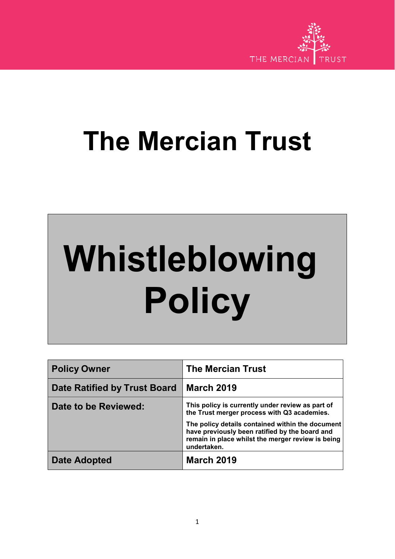

# **The Mercian Trust**

# **Whistleblowing Policy**

| <b>Policy Owner</b>                 | <b>The Mercian Trust</b>                                                                                                                                               |
|-------------------------------------|------------------------------------------------------------------------------------------------------------------------------------------------------------------------|
| <b>Date Ratified by Trust Board</b> | <b>March 2019</b>                                                                                                                                                      |
| Date to be Reviewed:                | This policy is currently under review as part of<br>the Trust merger process with Q3 academies.                                                                        |
|                                     | The policy details contained within the document<br>have previously been ratified by the board and<br>remain in place whilst the merger review is being<br>undertaken. |
| Date Adopted                        | <b>March 2019</b>                                                                                                                                                      |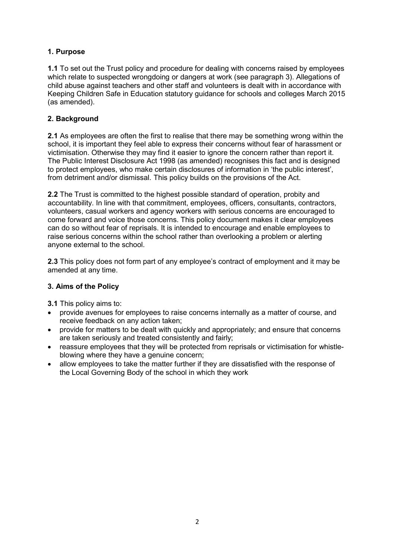# **1. Purpose**

**1.1** To set out the Trust policy and procedure for dealing with concerns raised by employees which relate to suspected wrongdoing or dangers at work (see paragraph 3). Allegations of child abuse against teachers and other staff and volunteers is dealt with in accordance with Keeping Children Safe in Education statutory guidance for schools and colleges March 2015 (as amended).

### **2. Background**

**2.1** As employees are often the first to realise that there may be something wrong within the school, it is important they feel able to express their concerns without fear of harassment or victimisation. Otherwise they may find it easier to ignore the concern rather than report it. The Public Interest Disclosure Act 1998 (as amended) recognises this fact and is designed to protect employees, who make certain disclosures of information in 'the public interest', from detriment and/or dismissal. This policy builds on the provisions of the Act.

**2.2** The Trust is committed to the highest possible standard of operation, probity and accountability. In line with that commitment, employees, officers, consultants, contractors, volunteers, casual workers and agency workers with serious concerns are encouraged to come forward and voice those concerns. This policy document makes it clear employees can do so without fear of reprisals. It is intended to encourage and enable employees to raise serious concerns within the school rather than overlooking a problem or alerting anyone external to the school.

**2.3** This policy does not form part of any employee's contract of employment and it may be amended at any time.

#### **3. Aims of the Policy**

- **3.1** This policy aims to:
- provide avenues for employees to raise concerns internally as a matter of course, and receive feedback on any action taken;
- provide for matters to be dealt with quickly and appropriately; and ensure that concerns are taken seriously and treated consistently and fairly;
- reassure employees that they will be protected from reprisals or victimisation for whistleblowing where they have a genuine concern;
- allow employees to take the matter further if they are dissatisfied with the response of the Local Governing Body of the school in which they work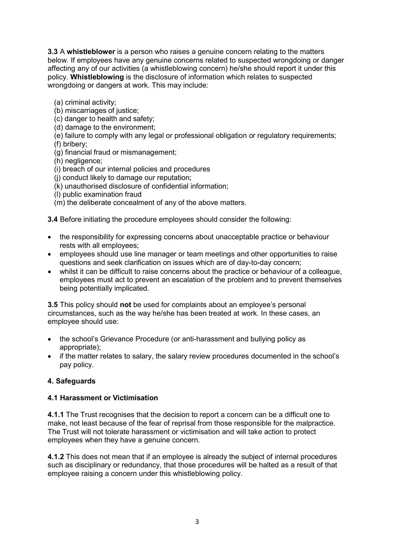**3.3** A **whistleblower** is a person who raises a genuine concern relating to the matters below. If employees have any genuine concerns related to suspected wrongdoing or danger affecting any of our activities (a whistleblowing concern) he/she should report it under this policy. **Whistleblowing** is the disclosure of information which relates to suspected wrongdoing or dangers at work. This may include:

- (a) criminal activity;
- (b) miscarriages of justice;
- (c) danger to health and safety;
- (d) damage to the environment;
- (e) failure to comply with any legal or professional obligation or regulatory requirements;
- (f) bribery;
- $\overline{q}$  (g) financial fraud or mismanagement;
- (h) negligence;
- (i) breach of our internal policies and procedures
- (j) conduct likely to damage our reputation;
- (k) unauthorised disclosure of confidential information;
- (l) public examination fraud
- (m) the deliberate concealment of any of the above matters.

**3.4** Before initiating the procedure employees should consider the following:

- the responsibility for expressing concerns about unacceptable practice or behaviour rests with all employees;
- employees should use line manager or team meetings and other opportunities to raise questions and seek clarification on issues which are of day-to-day concern;
- whilst it can be difficult to raise concerns about the practice or behaviour of a colleague, employees must act to prevent an escalation of the problem and to prevent themselves being potentially implicated.

**3.5** This policy should **not** be used for complaints about an employee's personal circumstances, such as the way he/she has been treated at work. In these cases, an employee should use:

- the school's Grievance Procedure (or anti-harassment and bullying policy as appropriate);
- if the matter relates to salary, the salary review procedures documented in the school's pay policy.

# **4. Safeguards**

#### **4.1 Harassment or Victimisation**

**4.1.1** The Trust recognises that the decision to report a concern can be a difficult one to make, not least because of the fear of reprisal from those responsible for the malpractice. The Trust will not tolerate harassment or victimisation and will take action to protect employees when they have a genuine concern.

**4.1.2** This does not mean that if an employee is already the subject of internal procedures such as disciplinary or redundancy, that those procedures will be halted as a result of that employee raising a concern under this whistleblowing policy.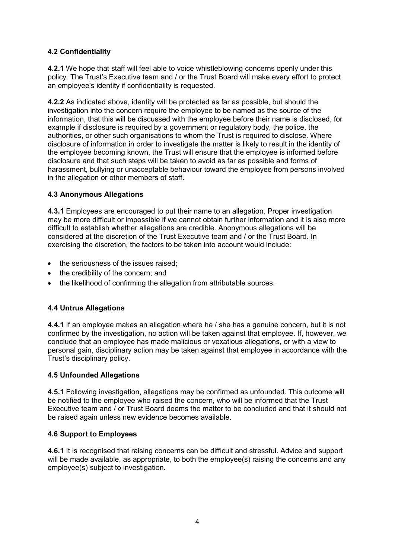# **4.2 Confidentiality**

**4.2.1** We hope that staff will feel able to voice whistleblowing concerns openly under this policy. The Trust's Executive team and / or the Trust Board will make every effort to protect an employee's identity if confidentiality is requested.

**4.2.2** As indicated above, identity will be protected as far as possible, but should the investigation into the concern require the employee to be named as the source of the information, that this will be discussed with the employee before their name is disclosed, for example if disclosure is required by a government or regulatory body, the police, the authorities, or other such organisations to whom the Trust is required to disclose. Where disclosure of information in order to investigate the matter is likely to result in the identity of the employee becoming known, the Trust will ensure that the employee is informed before disclosure and that such steps will be taken to avoid as far as possible and forms of harassment, bullying or unacceptable behaviour toward the employee from persons involved in the allegation or other members of staff.

# **4.3 Anonymous Allegations**

**4.3.1** Employees are encouraged to put their name to an allegation. Proper investigation may be more difficult or impossible if we cannot obtain further information and it is also more difficult to establish whether allegations are credible. Anonymous allegations will be considered at the discretion of the Trust Executive team and / or the Trust Board. In exercising the discretion, the factors to be taken into account would include:

- the seriousness of the issues raised;
- the credibility of the concern; and
- the likelihood of confirming the allegation from attributable sources.

# **4.4 Untrue Allegations**

**4.4.1** If an employee makes an allegation where he / she has a genuine concern, but it is not confirmed by the investigation, no action will be taken against that employee. If, however, we conclude that an employee has made malicious or vexatious allegations, or with a view to personal gain, disciplinary action may be taken against that employee in accordance with the Trust's disciplinary policy.

#### **4.5 Unfounded Allegations**

**4.5.1** Following investigation, allegations may be confirmed as unfounded. This outcome will be notified to the employee who raised the concern, who will be informed that the Trust Executive team and / or Trust Board deems the matter to be concluded and that it should not be raised again unless new evidence becomes available.

#### **4.6 Support to Employees**

**4.6.1** It is recognised that raising concerns can be difficult and stressful. Advice and support will be made available, as appropriate, to both the employee(s) raising the concerns and any employee(s) subject to investigation.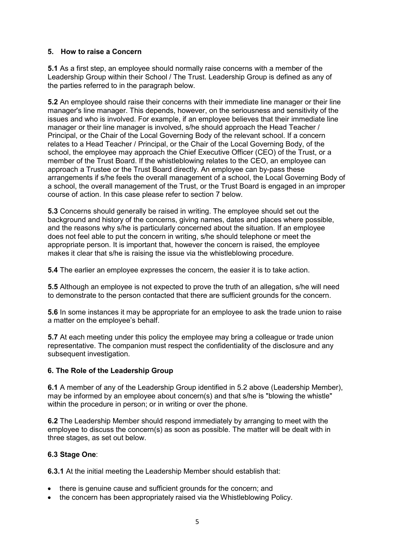#### **5. How to raise a Concern**

**5.1** As a first step, an employee should normally raise concerns with a member of the Leadership Group within their School / The Trust. Leadership Group is defined as any of the parties referred to in the paragraph below.

**5.2** An employee should raise their concerns with their immediate line manager or their line manager's line manager. This depends, however, on the seriousness and sensitivity of the issues and who is involved. For example, if an employee believes that their immediate line manager or their line manager is involved, s/he should approach the Head Teacher / Principal, or the Chair of the Local Governing Body of the relevant school. If a concern relates to a Head Teacher / Principal, or the Chair of the Local Governing Body, of the school, the employee may approach the Chief Executive Officer (CEO) of the Trust, or a member of the Trust Board. If the whistleblowing relates to the CEO, an employee can approach a Trustee or the Trust Board directly. An employee can by-pass these arrangements if s/he feels the overall management of a school, the Local Governing Body of a school, the overall management of the Trust, or the Trust Board is engaged in an improper course of action. In this case please refer to section 7 below.

**5.3** Concerns should generally be raised in writing. The employee should set out the background and history of the concerns, giving names, dates and places where possible, and the reasons why s/he is particularly concerned about the situation. If an employee does not feel able to put the concern in writing, s/he should telephone or meet the appropriate person. It is important that, however the concern is raised, the employee makes it clear that s/he is raising the issue via the whistleblowing procedure.

**5.4** The earlier an employee expresses the concern, the easier it is to take action.

**5.5** Although an employee is not expected to prove the truth of an allegation, s/he will need to demonstrate to the person contacted that there are sufficient grounds for the concern.

**5.6** In some instances it may be appropriate for an employee to ask the trade union to raise a matter on the employee's behalf.

**5.7** At each meeting under this policy the employee may bring a colleague or trade union representative. The companion must respect the confidentiality of the disclosure and any subsequent investigation.

#### **6. The Role of the Leadership Group**

**6.1** A member of any of the Leadership Group identified in 5.2 above (Leadership Member), may be informed by an employee about concern(s) and that s/he is "blowing the whistle" within the procedure in person; or in writing or over the phone.

**6.2** The Leadership Member should respond immediately by arranging to meet with the employee to discuss the concern(s) as soon as possible. The matter will be dealt with in three stages, as set out below.

#### **6.3 Stage One**:

**6.3.1** At the initial meeting the Leadership Member should establish that:

- there is genuine cause and sufficient grounds for the concern; and
- the concern has been appropriately raised via the Whistleblowing Policy.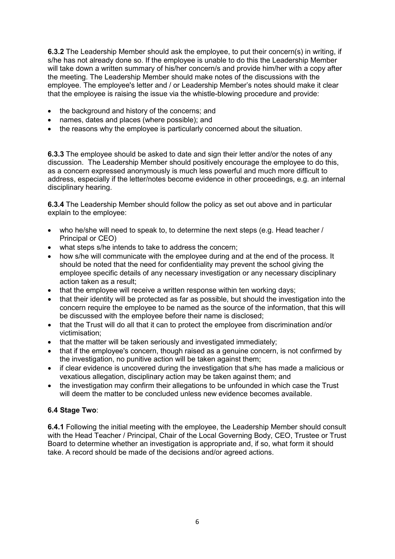**6.3.2** The Leadership Member should ask the employee, to put their concern(s) in writing, if s/he has not already done so. If the employee is unable to do this the Leadership Member will take down a written summary of his/her concern/s and provide him/her with a copy after the meeting. The Leadership Member should make notes of the discussions with the employee. The employee's letter and / or Leadership Member's notes should make it clear that the employee is raising the issue via the whistle-blowing procedure and provide:

- the background and history of the concerns; and
- names, dates and places (where possible); and
- the reasons why the employee is particularly concerned about the situation.

**6.3.3** The employee should be asked to date and sign their letter and/or the notes of any discussion. The Leadership Member should positively encourage the employee to do this, as a concern expressed anonymously is much less powerful and much more difficult to address, especially if the letter/notes become evidence in other proceedings, e.g. an internal disciplinary hearing.

**6.3.4** The Leadership Member should follow the policy as set out above and in particular explain to the employee:

- who he/she will need to speak to, to determine the next steps (e.g. Head teacher / Principal or CEO)
- what steps s/he intends to take to address the concern;
- how s/he will communicate with the employee during and at the end of the process. It should be noted that the need for confidentiality may prevent the school giving the employee specific details of any necessary investigation or any necessary disciplinary action taken as a result;
- that the employee will receive a written response within ten working days;
- that their identity will be protected as far as possible, but should the investigation into the concern require the employee to be named as the source of the information, that this will be discussed with the employee before their name is disclosed;
- that the Trust will do all that it can to protect the employee from discrimination and/or victimisation;
- that the matter will be taken seriously and investigated immediately;
- that if the employee's concern, though raised as a genuine concern, is not confirmed by the investigation, no punitive action will be taken against them;
- if clear evidence is uncovered during the investigation that s/he has made a malicious or vexatious allegation, disciplinary action may be taken against them; and
- the investigation may confirm their allegations to be unfounded in which case the Trust will deem the matter to be concluded unless new evidence becomes available.

#### **6.4 Stage Two**:

**6.4.1** Following the initial meeting with the employee, the Leadership Member should consult with the Head Teacher / Principal, Chair of the Local Governing Body, CEO, Trustee or Trust Board to determine whether an investigation is appropriate and, if so, what form it should take. A record should be made of the decisions and/or agreed actions.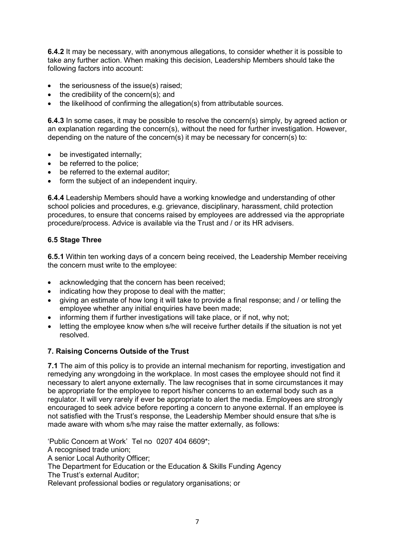**6.4.2** It may be necessary, with anonymous allegations, to consider whether it is possible to take any further action. When making this decision, Leadership Members should take the following factors into account:

- the seriousness of the issue(s) raised;
- the credibility of the concern(s); and
- the likelihood of confirming the allegation(s) from attributable sources.

**6.4.3** In some cases, it may be possible to resolve the concern(s) simply, by agreed action or an explanation regarding the concern(s), without the need for further investigation. However, depending on the nature of the concern(s) it may be necessary for concern(s) to:

- be investigated internally;
- be referred to the police;
- be referred to the external auditor;
- form the subject of an independent inquiry.

**6.4.4** Leadership Members should have a working knowledge and understanding of other school policies and procedures, e.g. grievance, disciplinary, harassment, child protection procedures, to ensure that concerns raised by employees are addressed via the appropriate procedure/process. Advice is available via the Trust and / or its HR advisers.

#### **6.5 Stage Three**

**6.5.1** Within ten working days of a concern being received, the Leadership Member receiving the concern must write to the employee:

- acknowledging that the concern has been received;
- indicating how they propose to deal with the matter;
- giving an estimate of how long it will take to provide a final response; and / or telling the employee whether any initial enquiries have been made;
- informing them if further investigations will take place, or if not, why not;
- letting the employee know when s/he will receive further details if the situation is not yet resolved.

# **7. Raising Concerns Outside of the Trust**

**7.1** The aim of this policy is to provide an internal mechanism for reporting, investigation and remedying any wrongdoing in the workplace. In most cases the employee should not find it necessary to alert anyone externally. The law recognises that in some circumstances it may be appropriate for the employee to report his/her concerns to an external body such as a regulator. It will very rarely if ever be appropriate to alert the media. Employees are strongly encouraged to seek advice before reporting a concern to anyone external. If an employee is not satisfied with the Trust's response, the Leadership Member should ensure that s/he is made aware with whom s/he may raise the matter externally, as follows:

'Public [Concern](http://www.pcaw.co.uk/) at Work' Tel no 0207 404 6609\*;

A recognised trade union;

A senior Local Authority Officer;

The Department for Education or the Education & Skills Funding Agency

The Trust's external Auditor;

Relevant professional bodies or regulatory organisations; or